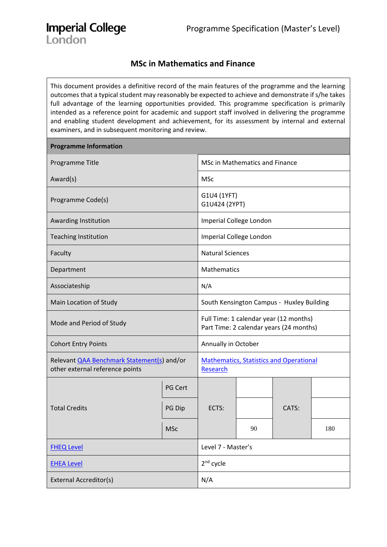# **Imperial College** London

# **MSc in Mathematics and Finance**

This document provides a definitive record of the main features of the programme and the learning outcomes that a typical student may reasonably be expected to achieve and demonstrate if s/he takes full advantage of the learning opportunities provided. This programme specification is primarily intended as a reference point for academic and support staff involved in delivering the programme and enabling student development and achievement, for its assessment by internal and external examiners, and in subsequent monitoring and review.

| <b>Programme Information</b>                                                         |                                                                                   |                                                            |                         |       |     |  |  |  |
|--------------------------------------------------------------------------------------|-----------------------------------------------------------------------------------|------------------------------------------------------------|-------------------------|-------|-----|--|--|--|
| Programme Title                                                                      | <b>MSc in Mathematics and Finance</b>                                             |                                                            |                         |       |     |  |  |  |
| Award(s)                                                                             |                                                                                   | <b>MSc</b>                                                 |                         |       |     |  |  |  |
| Programme Code(s)                                                                    | G1U4 (1YFT)<br>G1U424 (2YPT)                                                      |                                                            |                         |       |     |  |  |  |
| Awarding Institution                                                                 |                                                                                   |                                                            | Imperial College London |       |     |  |  |  |
| <b>Teaching Institution</b>                                                          |                                                                                   |                                                            | Imperial College London |       |     |  |  |  |
| Faculty                                                                              | <b>Natural Sciences</b>                                                           |                                                            |                         |       |     |  |  |  |
| Department                                                                           | Mathematics                                                                       |                                                            |                         |       |     |  |  |  |
| Associateship                                                                        | N/A                                                                               |                                                            |                         |       |     |  |  |  |
| Main Location of Study                                                               | South Kensington Campus - Huxley Building                                         |                                                            |                         |       |     |  |  |  |
| Mode and Period of Study                                                             | Full Time: 1 calendar year (12 months)<br>Part Time: 2 calendar years (24 months) |                                                            |                         |       |     |  |  |  |
| <b>Cohort Entry Points</b>                                                           |                                                                                   | Annually in October                                        |                         |       |     |  |  |  |
| Relevant <b>QAA Benchmark Statement(s)</b> and/or<br>other external reference points |                                                                                   | <b>Mathematics, Statistics and Operational</b><br>Research |                         |       |     |  |  |  |
|                                                                                      | PG Cert                                                                           |                                                            |                         |       |     |  |  |  |
| <b>Total Credits</b>                                                                 | PG Dip                                                                            | ECTS:                                                      |                         | CATS: |     |  |  |  |
|                                                                                      | <b>MSc</b>                                                                        |                                                            | 90                      |       | 180 |  |  |  |
| <b>FHEQ Level</b>                                                                    | Level 7 - Master's                                                                |                                                            |                         |       |     |  |  |  |
| <b>EHEA Level</b>                                                                    | 2 <sup>nd</sup> cycle                                                             |                                                            |                         |       |     |  |  |  |
| <b>External Accreditor(s)</b>                                                        | N/A                                                                               |                                                            |                         |       |     |  |  |  |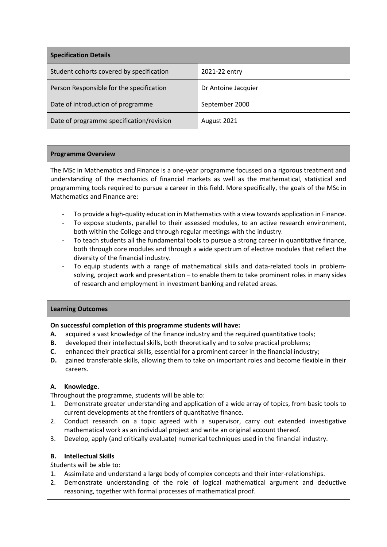| <b>Specification Details</b>             |                     |  |  |  |  |  |
|------------------------------------------|---------------------|--|--|--|--|--|
| Student cohorts covered by specification | 2021-22 entry       |  |  |  |  |  |
| Person Responsible for the specification | Dr Antoine Jacquier |  |  |  |  |  |
| Date of introduction of programme        | September 2000      |  |  |  |  |  |
| Date of programme specification/revision | August 2021         |  |  |  |  |  |

#### **Programme Overview**

The MSc in Mathematics and Finance is a one-year programme focussed on a rigorous treatment and understanding of the mechanics of financial markets as well as the mathematical, statistical and programming tools required to pursue a career in this field. More specifically, the goals of the MSc in Mathematics and Finance are:

- To provide a high-quality education in Mathematics with a view towards application in Finance.
- To expose students, parallel to their assessed modules, to an active research environment, both within the College and through regular meetings with the industry.
- To teach students all the fundamental tools to pursue a strong career in quantitative finance, both through core modules and through a wide spectrum of elective modules that reflect the diversity of the financial industry.
- To equip students with a range of mathematical skills and data-related tools in problemsolving, project work and presentation – to enable them to take prominent roles in many sides of research and employment in investment banking and related areas.

# **Learning Outcomes**

# **On successful completion of this programme students will have:**

- **A.** acquired a vast knowledge of the finance industry and the required quantitative tools;
- **B.** developed their intellectual skills, both theoretically and to solve practical problems;
- **C.** enhanced their practical skills, essential for a prominent career in the financial industry;
- **D.** gained transferable skills, allowing them to take on important roles and become flexible in their careers.

# **A. Knowledge.**

Throughout the programme, students will be able to:

- 1. Demonstrate greater understanding and application of a wide array of topics, from basic tools to current developments at the frontiers of quantitative finance.
- 2. Conduct research on a topic agreed with a supervisor, carry out extended investigative mathematical work as an individual project and write an original account thereof.
- 3. Develop, apply (and critically evaluate) numerical techniques used in the financial industry.

# **B. Intellectual Skills**

Students will be able to:

- 1. Assimilate and understand a large body of complex concepts and their inter-relationships.
- 2. Demonstrate understanding of the role of logical mathematical argument and deductive reasoning, together with formal processes of mathematical proof.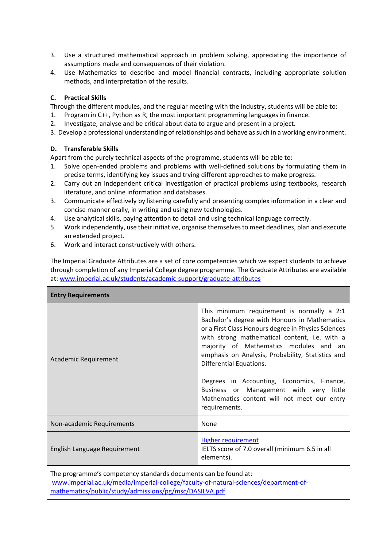- 3. Use a structured mathematical approach in problem solving, appreciating the importance of assumptions made and consequences of their violation.
- 4. Use Mathematics to describe and model financial contracts, including appropriate solution methods, and interpretation of the results.

# **C. Practical Skills**

Through the different modules, and the regular meeting with the industry, students will be able to:

- 1. Program in C++, Python as R, the most important programming languages in finance.
- 2. Investigate, analyse and be critical about data to argue and present in a project.
- 3. Develop a professional understanding of relationships and behave as such in a working environment.

#### **D. Transferable Skills**

Apart from the purely technical aspects of the programme, students will be able to:

- 1. Solve open-ended problems and problems with well-defined solutions by formulating them in precise terms, identifying key issues and trying different approaches to make progress.
- 2. Carry out an independent critical investigation of practical problems using textbooks, research literature, and online information and databases.
- 3. Communicate effectively by listening carefully and presenting complex information in a clear and concise manner orally, in writing and using new technologies.
- 4. Use analytical skills, paying attention to detail and using technical language correctly.
- 5. Work independently, use their initiative, organise themselves to meet deadlines, plan and execute an extended project.
- 6. Work and interact constructively with others.

The Imperial Graduate Attributes are a set of core competencies which we expect students to achieve through completion of any Imperial College degree programme. The Graduate Attributes are available at: [www.imperial.ac.uk/students/academic-support/graduate-attributes](http://www.imperial.ac.uk/students/academic-support/graduate-attributes)

| <b>Entry Requirements</b>    |                                                                                                                                                                                                                                                                                                                                                                                                                                                                                        |
|------------------------------|----------------------------------------------------------------------------------------------------------------------------------------------------------------------------------------------------------------------------------------------------------------------------------------------------------------------------------------------------------------------------------------------------------------------------------------------------------------------------------------|
| Academic Requirement         | This minimum requirement is normally a 2:1<br>Bachelor's degree with Honours in Mathematics<br>or a First Class Honours degree in Physics Sciences<br>with strong mathematical content, i.e. with a<br>majority of Mathematics modules and an<br>emphasis on Analysis, Probability, Statistics and<br>Differential Equations.<br>Degrees in Accounting, Economics, Finance,<br>Business or Management with very little<br>Mathematics content will not meet our entry<br>requirements. |
| Non-academic Requirements    | None                                                                                                                                                                                                                                                                                                                                                                                                                                                                                   |
| English Language Requirement | <b>Higher requirement</b><br>IELTS score of 7.0 overall (minimum 6.5 in all<br>elements).                                                                                                                                                                                                                                                                                                                                                                                              |

The programme's competency standards documents can be found at: [www.imperial.ac.uk/media/imperial-college/faculty-of-natural-sciences/department-of](http://www.imperial.ac.uk/media/imperial-college/faculty-of-natural-sciences/department-of-mathematics/public/study/admissions/pg/msc/DASILVA.pdf)[mathematics/public/study/admissions/pg/msc/DASILVA.pdf](http://www.imperial.ac.uk/media/imperial-college/faculty-of-natural-sciences/department-of-mathematics/public/study/admissions/pg/msc/DASILVA.pdf)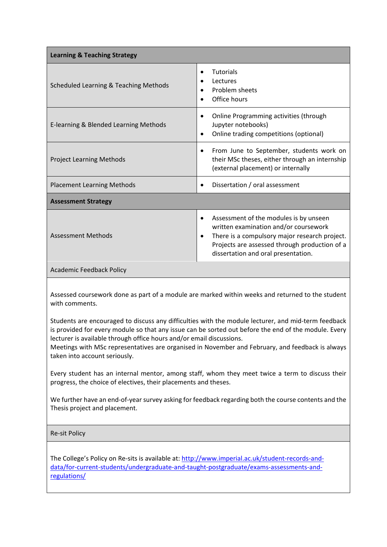| <b>Learning &amp; Teaching Strategy</b> |                                                                                                                                                                                                                                                    |
|-----------------------------------------|----------------------------------------------------------------------------------------------------------------------------------------------------------------------------------------------------------------------------------------------------|
| Scheduled Learning & Teaching Methods   | <b>Tutorials</b><br>$\bullet$<br>Lectures<br>Problem sheets<br>Office hours                                                                                                                                                                        |
| E-learning & Blended Learning Methods   | Online Programming activities (through<br>٠<br>Jupyter notebooks)<br>Online trading competitions (optional)<br>$\bullet$                                                                                                                           |
| <b>Project Learning Methods</b>         | From June to September, students work on<br>their MSc theses, either through an internship<br>(external placement) or internally                                                                                                                   |
| <b>Placement Learning Methods</b>       | Dissertation / oral assessment<br>$\bullet$                                                                                                                                                                                                        |
| <b>Assessment Strategy</b>              |                                                                                                                                                                                                                                                    |
| <b>Assessment Methods</b>               | Assessment of the modules is by unseen<br>$\bullet$<br>written examination and/or coursework<br>There is a compulsory major research project.<br>$\bullet$<br>Projects are assessed through production of a<br>dissertation and oral presentation. |
| <b>Academic Feedback Policy</b>         |                                                                                                                                                                                                                                                    |

Assessed coursework done as part of a module are marked within weeks and returned to the student with comments.

Students are encouraged to discuss any difficulties with the module lecturer, and mid-term feedback is provided for every module so that any issue can be sorted out before the end of the module. Every lecturer is available through office hours and/or email discussions.

Meetings with MSc representatives are organised in November and February, and feedback is always taken into account seriously.

Every student has an internal mentor, among staff, whom they meet twice a term to discuss their progress, the choice of electives, their placements and theses.

We further have an end-of-year survey asking for feedback regarding both the course contents and the Thesis project and placement.

#### Re-sit Policy

The College's Policy on Re-sits is available at[: http://www.imperial.ac.uk/student-records-and](http://www.imperial.ac.uk/student-records-and-data/for-current-students/undergraduate-and-taught-postgraduate/exams-assessments-and-regulations/)[data/for-current-students/undergraduate-and-taught-postgraduate/exams-assessments-and](http://www.imperial.ac.uk/student-records-and-data/for-current-students/undergraduate-and-taught-postgraduate/exams-assessments-and-regulations/)[regulations/](http://www.imperial.ac.uk/student-records-and-data/for-current-students/undergraduate-and-taught-postgraduate/exams-assessments-and-regulations/)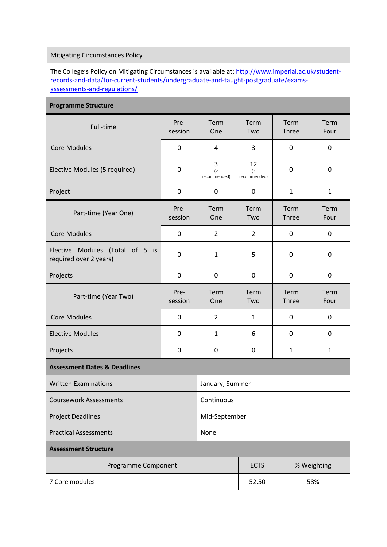# Mitigating Circumstances Policy

The College's Policy on Mitigating Circumstances is available at: [http://www.imperial.ac.uk/student](http://www.imperial.ac.uk/student-records-and-data/for-current-students/undergraduate-and-taught-postgraduate/exams-assessments-and-regulations/)[records-and-data/for-current-students/undergraduate-and-taught-postgraduate/exams](http://www.imperial.ac.uk/student-records-and-data/for-current-students/undergraduate-and-taught-postgraduate/exams-assessments-and-regulations/)[assessments-and-regulations/](http://www.imperial.ac.uk/student-records-and-data/for-current-students/undergraduate-and-taught-postgraduate/exams-assessments-and-regulations/)

#### **Programme Structure**

| Full-time                                                 | Pre-<br>session | Term<br>One              | Term<br>Two               | Term<br>Three | Term<br>Four |  |  |
|-----------------------------------------------------------|-----------------|--------------------------|---------------------------|---------------|--------------|--|--|
| <b>Core Modules</b>                                       | 0               | 4                        | 3                         | $\pmb{0}$     | $\mathbf 0$  |  |  |
| Elective Modules (5 required)                             | 0               | 3<br>(2)<br>recommended) | 12<br>(3)<br>recommended) | $\mathbf 0$   | 0            |  |  |
| Project                                                   | 0               | 0                        | $\mathbf 0$               | $\mathbf{1}$  | $\mathbf{1}$ |  |  |
| Part-time (Year One)                                      | Pre-<br>session | Term<br>One              | Term<br>Two               | Term<br>Three | Term<br>Four |  |  |
| <b>Core Modules</b>                                       | 0               | $\overline{2}$           | $\overline{2}$            | $\pmb{0}$     | 0            |  |  |
| Elective Modules (Total of 5 is<br>required over 2 years) | 0               | $\mathbf{1}$             | 5                         | 0             | 0            |  |  |
| Projects                                                  | 0               | 0                        | 0                         | 0             | $\mathbf 0$  |  |  |
| Part-time (Year Two)                                      | Pre-<br>session | Term<br>One              | Term<br>Two               | Term<br>Three | Term<br>Four |  |  |
| <b>Core Modules</b>                                       | 0               | $\overline{2}$           | $\mathbf{1}$              | 0             | 0            |  |  |
| <b>Elective Modules</b>                                   | 0               | $\mathbf{1}$             | 6                         | 0             | 0            |  |  |
| Projects                                                  | 0               | 0                        | 0                         | $\mathbf{1}$  |              |  |  |
| <b>Assessment Dates &amp; Deadlines</b>                   |                 |                          |                           |               |              |  |  |
| <b>Written Examinations</b>                               |                 | January, Summer          |                           |               |              |  |  |
| <b>Coursework Assessments</b>                             |                 |                          |                           |               |              |  |  |
| <b>Project Deadlines</b>                                  | Mid-September   |                          |                           |               |              |  |  |
| <b>Practical Assessments</b>                              |                 |                          |                           |               |              |  |  |
| <b>Assessment Structure</b>                               |                 |                          |                           |               |              |  |  |
| Programme Component                                       | <b>ECTS</b>     | % Weighting              |                           |               |              |  |  |
| 7 Core modules                                            | 52.50           | 58%                      |                           |               |              |  |  |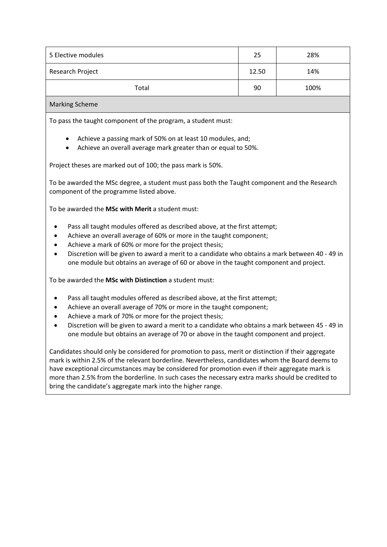| 5 Elective modules | 25    | 28%  |
|--------------------|-------|------|
| Research Project   | 12.50 | 14%  |
| Total              | 90    | 100% |
| .                  |       |      |

#### Marking Scheme

To pass the taught component of the program, a student must:

- Achieve a passing mark of 50% on at least 10 modules, and;
- Achieve an overall average mark greater than or equal to 50%.

Project theses are marked out of 100; the pass mark is 50%.

To be awarded the MSc degree, a student must pass both the Taught component and the Research component of the programme listed above.

To be awarded the **MSc with Merit** a student must:

- Pass all taught modules offered as described above, at the first attempt;
- Achieve an overall average of 60% or more in the taught component;
- Achieve a mark of 60% or more for the project thesis;
- Discretion will be given to award a merit to a candidate who obtains a mark between 40 49 in one module but obtains an average of 60 or above in the taught component and project.

To be awarded the **MSc with Distinction** a student must:

- Pass all taught modules offered as described above, at the first attempt;
- Achieve an overall average of 70% or more in the taught component;
- Achieve a mark of 70% or more for the project thesis;
- Discretion will be given to award a merit to a candidate who obtains a mark between 45 49 in one module but obtains an average of 70 or above in the taught component and project.

Candidates should only be considered for promotion to pass, merit or distinction if their aggregate mark is within 2.5% of the relevant borderline. Nevertheless, candidates whom the Board deems to have exceptional circumstances may be considered for promotion even if their aggregate mark is more than 2.5% from the borderline. In such cases the necessary extra marks should be credited to bring the candidate's aggregate mark into the higher range.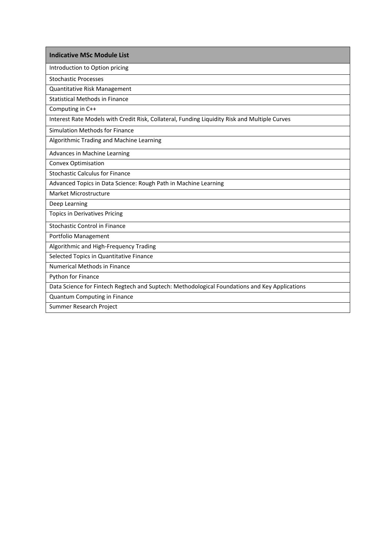Introduction to Option pricing

Stochastic Processes

Quantitative Risk Management

Statistical Methods in Finance

Computing in C++

Interest Rate Models with Credit Risk, Collateral, Funding Liquidity Risk and Multiple Curves

Simulation Methods for Finance

Algorithmic Trading and Machine Learning

Advances in Machine Learning

Convex Optimisation

Stochastic Calculus for Finance

Advanced Topics in Data Science: Rough Path in Machine Learning

Market Microstructure

Deep Learning

Topics in Derivatives Pricing

Stochastic Control in Finance

Portfolio Management

Algorithmic and High-Frequency Trading

Selected Topics in Quantitative Finance

Numerical Methods in Finance

Python for Finance

Data Science for Fintech Regtech and Suptech: Methodological Foundations and Key Applications

Quantum Computing in Finance

Summer Research Project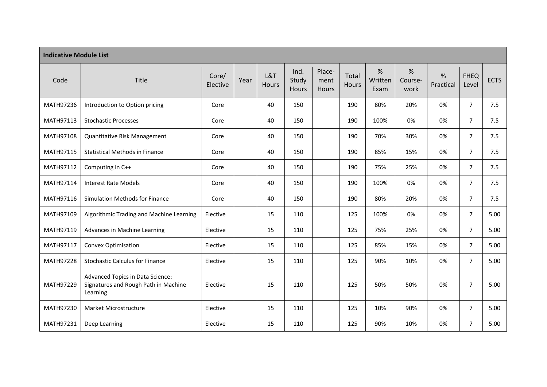| <b>Indicative Module List</b> |                                                                                      |                   |      |              |                        |                         |                |                      |                      |                |                      |             |
|-------------------------------|--------------------------------------------------------------------------------------|-------------------|------|--------------|------------------------|-------------------------|----------------|----------------------|----------------------|----------------|----------------------|-------------|
| Code                          | Title                                                                                | Core/<br>Elective | Year | L&T<br>Hours | Ind.<br>Study<br>Hours | Place-<br>ment<br>Hours | Total<br>Hours | %<br>Written<br>Exam | %<br>Course-<br>work | %<br>Practical | <b>FHEQ</b><br>Level | <b>ECTS</b> |
| MATH97236                     | Introduction to Option pricing                                                       | Core              |      | 40           | 150                    |                         | 190            | 80%                  | 20%                  | 0%             | $\overline{7}$       | 7.5         |
| MATH97113                     | <b>Stochastic Processes</b>                                                          | Core              |      | 40           | 150                    |                         | 190            | 100%                 | 0%                   | 0%             | $\overline{7}$       | 7.5         |
| MATH97108                     | Quantitative Risk Management                                                         | Core              |      | 40           | 150                    |                         | 190            | 70%                  | 30%                  | 0%             | $\overline{7}$       | 7.5         |
| MATH97115                     | <b>Statistical Methods in Finance</b>                                                | Core              |      | 40           | 150                    |                         | 190            | 85%                  | 15%                  | 0%             | $\overline{7}$       | 7.5         |
| MATH97112                     | Computing in C++                                                                     | Core              |      | 40           | 150                    |                         | 190            | 75%                  | 25%                  | 0%             | $\overline{7}$       | 7.5         |
| MATH97114                     | <b>Interest Rate Models</b>                                                          | Core              |      | 40           | 150                    |                         | 190            | 100%                 | 0%                   | 0%             | $\overline{7}$       | 7.5         |
| MATH97116                     | Simulation Methods for Finance                                                       | Core              |      | 40           | 150                    |                         | 190            | 80%                  | 20%                  | 0%             | $\overline{7}$       | 7.5         |
| MATH97109                     | Algorithmic Trading and Machine Learning                                             | Elective          |      | 15           | 110                    |                         | 125            | 100%                 | 0%                   | 0%             | $\overline{7}$       | 5.00        |
| MATH97119                     | Advances in Machine Learning                                                         | Elective          |      | 15           | 110                    |                         | 125            | 75%                  | 25%                  | 0%             | $\overline{7}$       | 5.00        |
| MATH97117                     | Convex Optimisation                                                                  | Elective          |      | 15           | 110                    |                         | 125            | 85%                  | 15%                  | 0%             | $\overline{7}$       | 5.00        |
| MATH97228                     | <b>Stochastic Calculus for Finance</b>                                               | Elective          |      | 15           | 110                    |                         | 125            | 90%                  | 10%                  | 0%             | $\overline{7}$       | 5.00        |
| MATH97229                     | Advanced Topics in Data Science:<br>Signatures and Rough Path in Machine<br>Learning | Elective          |      | 15           | 110                    |                         | 125            | 50%                  | 50%                  | 0%             | $\overline{7}$       | 5.00        |
| MATH97230                     | Market Microstructure                                                                | Elective          |      | 15           | 110                    |                         | 125            | 10%                  | 90%                  | 0%             | $\overline{7}$       | 5.00        |
| MATH97231                     | Deep Learning                                                                        | Elective          |      | 15           | 110                    |                         | 125            | 90%                  | 10%                  | 0%             | $\overline{7}$       | 5.00        |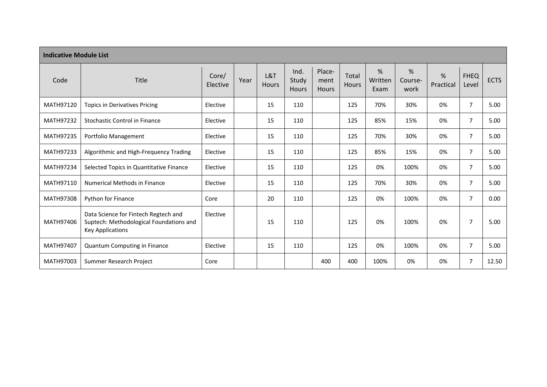| <b>Indicative Module List</b> |                                                                                                            |                   |      |                     |                               |                                |                       |                      |                      |                |                      |             |
|-------------------------------|------------------------------------------------------------------------------------------------------------|-------------------|------|---------------------|-------------------------------|--------------------------------|-----------------------|----------------------|----------------------|----------------|----------------------|-------------|
| Code                          | Title                                                                                                      | Core/<br>Elective | Year | L&T<br><b>Hours</b> | Ind.<br>Study<br><b>Hours</b> | Place-<br>ment<br><b>Hours</b> | Total<br><b>Hours</b> | %<br>Written<br>Exam | %<br>Course-<br>work | %<br>Practical | <b>FHEQ</b><br>Level | <b>ECTS</b> |
| MATH97120                     | <b>Topics in Derivatives Pricing</b>                                                                       | Elective          |      | 15                  | 110                           |                                | 125                   | 70%                  | 30%                  | 0%             | $\overline{7}$       | 5.00        |
| MATH97232                     | <b>Stochastic Control in Finance</b>                                                                       | Elective          |      | 15                  | 110                           |                                | 125                   | 85%                  | 15%                  | 0%             | $\overline{7}$       | 5.00        |
| MATH97235                     | Portfolio Management                                                                                       | Elective          |      | 15                  | 110                           |                                | 125                   | 70%                  | 30%                  | 0%             | $\overline{7}$       | 5.00        |
| MATH97233                     | Algorithmic and High-Frequency Trading                                                                     | Elective          |      | 15                  | 110                           |                                | 125                   | 85%                  | 15%                  | 0%             | $\overline{7}$       | 5.00        |
| MATH97234                     | Selected Topics in Quantitative Finance                                                                    | Elective          |      | 15                  | 110                           |                                | 125                   | 0%                   | 100%                 | 0%             | $\overline{7}$       | 5.00        |
| MATH97110                     | <b>Numerical Methods in Finance</b>                                                                        | Elective          |      | 15                  | 110                           |                                | 125                   | 70%                  | 30%                  | 0%             | $\overline{7}$       | 5.00        |
| MATH97308                     | Python for Finance                                                                                         | Core              |      | 20                  | 110                           |                                | 125                   | 0%                   | 100%                 | 0%             | $\overline{7}$       | 0.00        |
| MATH97406                     | Data Science for Fintech Regtech and<br>Suptech: Methodological Foundations and<br><b>Key Applications</b> | Elective          |      | 15                  | 110                           |                                | 125                   | 0%                   | 100%                 | 0%             | $\overline{7}$       | 5.00        |
| MATH97407                     | Quantum Computing in Finance                                                                               | Elective          |      | 15                  | 110                           |                                | 125                   | 0%                   | 100%                 | 0%             | $\overline{7}$       | 5.00        |
| MATH97003                     | Summer Research Project                                                                                    | Core              |      |                     |                               | 400                            | 400                   | 100%                 | 0%                   | 0%             | $\overline{7}$       | 12.50       |